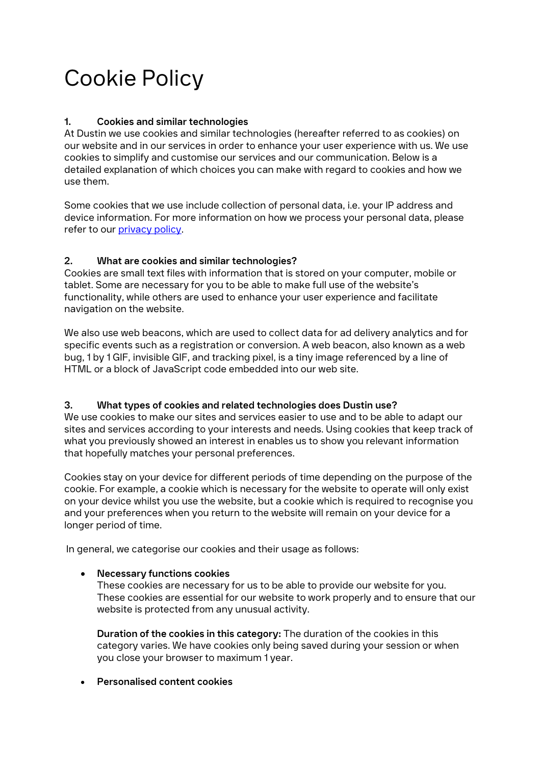# Cookie Policy

# **1. Cookies and similar technologies**

At Dustin we use cookies and similar technologies (hereafter referred to as cookies) on our website and in our services in order to enhance your user experience with us. We use cookies to simplify and customise our services and our communication. Below is a detailed explanation of which choices you can make with regard to cookies and how we use them.

Some cookies that we use include collection of personal data, i.e. your IP address and device information. For more information on how we process your personal data, please refer to our [privacy policy.](https://www.dustinhome.fi/service/tietosuojaseloste)

## **2. What are cookies and similar technologies?**

Cookies are small text files with information that is stored on your computer, mobile or tablet. Some are necessary for you to be able to make full use of the website's functionality, while others are used to enhance your user experience and facilitate navigation on the website.

We also use web beacons, which are used to collect data for ad delivery analytics and for specific events such as a registration or conversion. A web beacon, also known as a web bug, 1 by 1 GIF, invisible GIF, and tracking pixel, is a tiny image referenced by a line of HTML or a block of JavaScript code embedded into our web site.

## **3. What types of cookies and related technologies does Dustin use?**

We use cookies to make our sites and services easier to use and to be able to adapt our sites and services according to your interests and needs. Using cookies that keep track of what you previously showed an interest in enables us to show you relevant information that hopefully matches your personal preferences.

Cookies stay on your device for different periods of time depending on the purpose of the cookie. For example, a cookie which is necessary for the website to operate will only exist on your device whilst you use the website, but a cookie which is required to recognise you and your preferences when you return to the website will remain on your device for a longer period of time.

In general, we categorise our cookies and their usage as follows:

## • **Necessary functions cookies**

These cookies are necessary for us to be able to provide our website for you. These cookies are essential for our website to work properly and to ensure that our website is protected from any unusual activity.

**Duration of the cookies in this category:** The duration of the cookies in this category varies. We have cookies only being saved during your session or when you close your browser to maximum 1 year.

• **Personalised content cookies**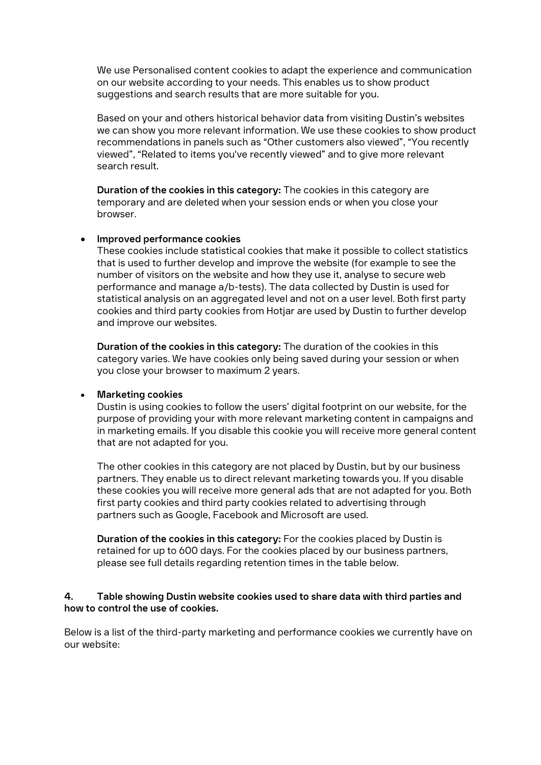We use Personalised content cookies to adapt the experience and communication on our website according to your needs. This enables us to show product suggestions and search results that are more suitable for you.

Based on your and others historical behavior data from visiting Dustin's websites we can show you more relevant information. We use these cookies to show product recommendations in panels such as "Other customers also viewed", "You recently viewed", "Related to items you've recently viewed" and to give more relevant search result.

**Duration of the cookies in this category:** The cookies in this category are temporary and are deleted when your session ends or when you close your browser.

## • **Improved performance cookies**

These cookies include statistical cookies that make it possible to collect statistics that is used to further develop and improve the website (for example to see the number of visitors on the website and how they use it, analyse to secure web performance and manage a/b-tests). The data collected by Dustin is used for statistical analysis on an aggregated level and not on a user level. Both first party cookies and third party cookies from Hotjar are used by Dustin to further develop and improve our websites.

**Duration of the cookies in this category:** The duration of the cookies in this category varies. We have cookies only being saved during your session or when you close your browser to maximum 2 years.

#### • **Marketing cookies**

Dustin is using cookies to follow the users' digital footprint on our website, for the purpose of providing your with more relevant marketing content in campaigns and in marketing emails. If you disable this cookie you will receive more general content that are not adapted for you.

The other cookies in this category are not placed by Dustin, but by our business partners. They enable us to direct relevant marketing towards you. If you disable these cookies you will receive more general ads that are not adapted for you. Both first party cookies and third party cookies related to advertising through partners such as Google, Facebook and Microsoft are used.

**Duration of the cookies in this category:** For the cookies placed by Dustin is retained for up to 600 days. For the cookies placed by our business partners, please see full details regarding retention times in the table below.

#### **4. Table showing Dustin website cookies used to share data with third parties and how to control the use of cookies.**

Below is a list of the third-party marketing and performance cookies we currently have on our website: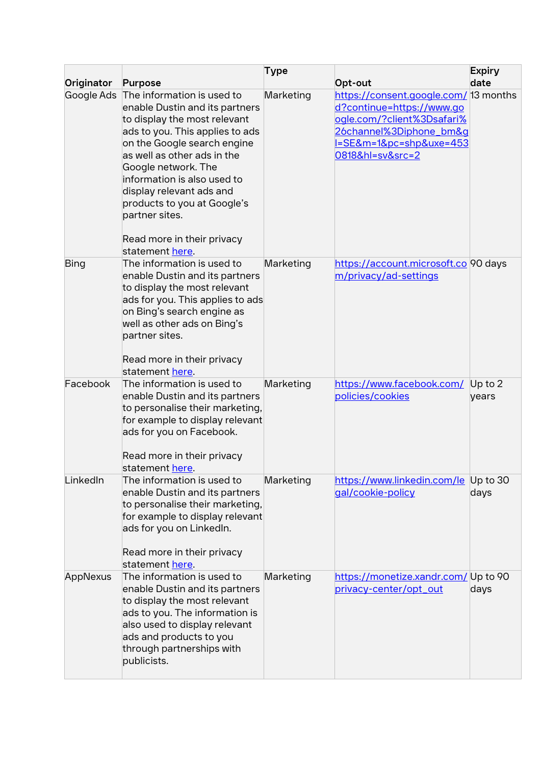|            |                                                                                                                                                                                                                                                                                                                                                                                   | <b>Type</b> |                                                                                                                                                                                              | <b>Expiry</b>      |
|------------|-----------------------------------------------------------------------------------------------------------------------------------------------------------------------------------------------------------------------------------------------------------------------------------------------------------------------------------------------------------------------------------|-------------|----------------------------------------------------------------------------------------------------------------------------------------------------------------------------------------------|--------------------|
| Originator | <b>Purpose</b>                                                                                                                                                                                                                                                                                                                                                                    |             | Opt-out                                                                                                                                                                                      | date               |
| Google Ads | The information is used to<br>enable Dustin and its partners<br>to display the most relevant<br>ads to you. This applies to ads<br>on the Google search engine<br>as well as other ads in the<br>Google network. The<br>information is also used to<br>display relevant ads and<br>products to you at Google's<br>partner sites.<br>Read more in their privacy<br>statement here. | Marketing   | https://consent.google.com/ 3 months<br>d?continue=https://www.go<br>ogle.com/?client%3Dsafari%<br>26channel%3Diphone_bm&g<br><u>I=SE&amp;m=1&amp;pc=shp&amp;uxe=453</u><br>0818&hl=sv&src=2 |                    |
| Bing       | The information is used to<br>enable Dustin and its partners<br>to display the most relevant<br>ads for you. This applies to ads<br>on Bing's search engine as<br>well as other ads on Bing's<br>partner sites.<br>Read more in their privacy<br>statement here.                                                                                                                  | Marketing   | https://account.microsoft.co 90 days<br>m/privacy/ad-settings                                                                                                                                |                    |
| Facebook   | The information is used to<br>enable Dustin and its partners<br>to personalise their marketing,<br>for example to display relevant<br>ads for you on Facebook.<br>Read more in their privacy<br>statement here.                                                                                                                                                                   | Marketing   | https://www.facebook.com/<br>policies/cookies                                                                                                                                                | Up to $2$<br>years |
| LinkedIn   | The information is used to<br>enable Dustin and its partners<br>to personalise their marketing,<br>for example to display relevant<br>ads for you on Linkedln.<br>Read more in their privacy<br>statement here.                                                                                                                                                                   | Marketing   | https://www.linkedin.com/le Up to 30<br>gal/cookie-policy                                                                                                                                    | days               |
| AppNexus   | The information is used to<br>enable Dustin and its partners<br>to display the most relevant<br>ads to you. The information is<br>also used to display relevant<br>ads and products to you<br>through partnerships with<br>publicists.                                                                                                                                            | Marketing   | https://monetize.xandr.com/ Up to 90<br>privacy-center/opt_out                                                                                                                               | days               |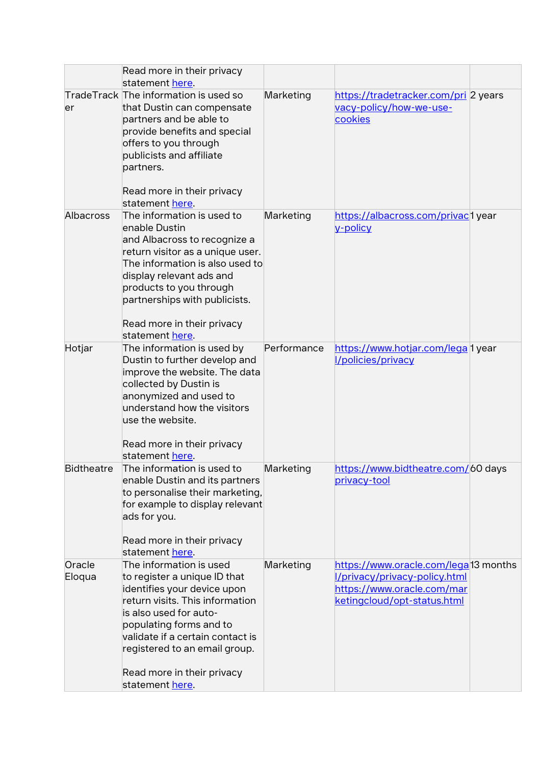|                   | Read more in their privacy<br>statement here.                                                                                                                                                                                                                                                        |             |                                                                                                                                    |
|-------------------|------------------------------------------------------------------------------------------------------------------------------------------------------------------------------------------------------------------------------------------------------------------------------------------------------|-------------|------------------------------------------------------------------------------------------------------------------------------------|
| er                | TradeTrack The information is used so<br>that Dustin can compensate<br>partners and be able to<br>provide benefits and special<br>offers to you through<br>publicists and affiliate<br>partners.<br>Read more in their privacy<br>statement here.                                                    | Marketing   | https://tradetracker.com/pri 2 years<br>vacy-policy/how-we-use-<br>cookies                                                         |
| Albacross         | The information is used to<br>enable Dustin<br>and Albacross to recognize a<br>return visitor as a unique user.<br>The information is also used to<br>display relevant ads and<br>products to you through<br>partnerships with publicists.<br>Read more in their privacy<br>statement here.          | Marketing   | https://albacross.com/privacd year<br>v-policy                                                                                     |
| Hotjar            | The information is used by<br>Dustin to further develop and<br>improve the website. The data<br>collected by Dustin is<br>anonymized and used to<br>understand how the visitors<br>use the website.<br>Read more in their privacy<br>statement here.                                                 | Performance | https://www.hotjar.com/lega 1 year<br><b>I/policies/privacy</b>                                                                    |
| <b>Bidtheatre</b> | The information is used to<br>enable Dustin and its partners<br>to personalise their marketing,<br>for example to display relevant<br>ads for you.<br>Read more in their privacy<br>statement here.                                                                                                  | Marketing   | https://www.bidtheatre.com/60 days<br>privacy-tool                                                                                 |
| Oracle<br>Eloqua  | The information is used<br>to register a unique ID that<br>identifies your device upon<br>return visits. This information<br>is also used for auto-<br>populating forms and to<br>validate if a certain contact is<br>registered to an email group.<br>Read more in their privacy<br>statement here. | Marketing   | https://www.oracle.com/lega13 months<br>[/privacy/privacy-policy.html<br>https://www.oracle.com/mar<br>ketingcloud/opt-status.html |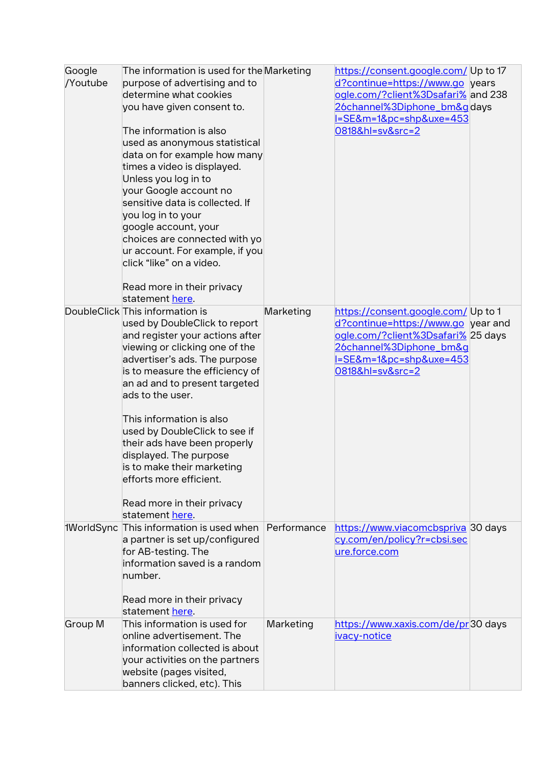| Google<br>/Youtube | The information is used for the Marketing<br>purpose of advertising and to<br>determine what cookies<br>you have given consent to.<br>The information is also<br>used as anonymous statistical<br>data on for example how many<br>times a video is displayed.<br>Unless you log in to<br>your Google account no<br>sensitive data is collected. If<br>you log in to your<br>google account, your<br>choices are connected with yo<br>ur account. For example, if you<br>click "like" on a video.<br>Read more in their privacy<br>statement here. |             | https://consent.google.com/ Up to 17<br>d?continue=https://www.go years<br>ogle.com/?client%3Dsafari% and 238<br>26channel%3Diphone_bm&gdays<br><u>=SE&amp;m=1&amp;pc=shp&amp;uxe=453</u><br>0818&hl=sv&src=2 |  |
|--------------------|---------------------------------------------------------------------------------------------------------------------------------------------------------------------------------------------------------------------------------------------------------------------------------------------------------------------------------------------------------------------------------------------------------------------------------------------------------------------------------------------------------------------------------------------------|-------------|---------------------------------------------------------------------------------------------------------------------------------------------------------------------------------------------------------------|--|
|                    | DoubleClick This information is<br>used by DoubleClick to report<br>and register your actions after<br>viewing or clicking one of the<br>advertiser's ads. The purpose<br>is to measure the efficiency of<br>an ad and to present targeted<br>ads to the user.<br>This information is also<br>used by DoubleClick to see if<br>their ads have been properly<br>displayed. The purpose<br>is to make their marketing<br>efforts more efficient.<br>Read more in their privacy<br>statement here.                                                   | Marketing   | https://consent.google.com/ Up to 1<br>d?continue=https://www.qo year and<br>ogle.com/?client%3Dsafari% 25 days<br>26channel%3Diphone_bm&q<br><u>=SE&amp;m=1&amp;pc=shp&amp;uxe=453</u><br>0818&hl=sv&src=2   |  |
| 1WorldSync         | This information is used when<br>a partner is set up/configured<br>for AB-testing. The<br>information saved is a random<br>number.<br>Read more in their privacy<br>statement here.                                                                                                                                                                                                                                                                                                                                                               | Performance | https://www.viacomcbspriva 30 days<br>cy.com/en/policy?r=cbsi.sec<br>ure.force.com                                                                                                                            |  |
| Group M            | This information is used for<br>online advertisement. The<br>information collected is about<br>your activities on the partners<br>website (pages visited,<br>banners clicked, etc). This                                                                                                                                                                                                                                                                                                                                                          | Marketing   | https://www.xaxis.com/de/pr30 days<br>ivacy-notice                                                                                                                                                            |  |